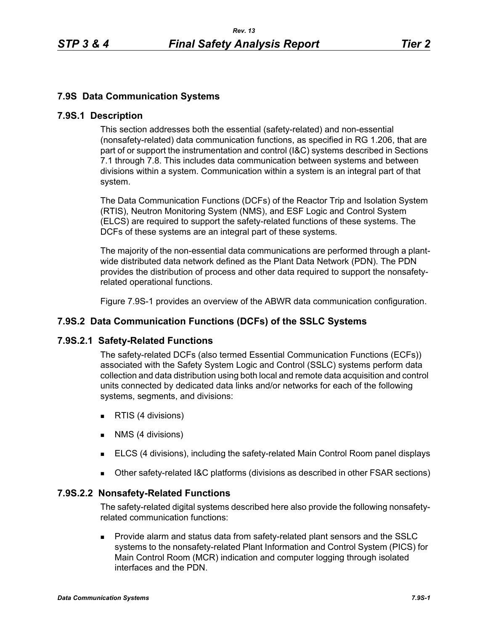# **7.9S Data Communication Systems**

#### **7.9S.1 Description**

This section addresses both the essential (safety-related) and non-essential (nonsafety-related) data communication functions, as specified in RG 1.206, that are part of or support the instrumentation and control (I&C) systems described in Sections 7.1 through 7.8. This includes data communication between systems and between divisions within a system. Communication within a system is an integral part of that system.

The Data Communication Functions (DCFs) of the Reactor Trip and Isolation System (RTIS), Neutron Monitoring System (NMS), and ESF Logic and Control System (ELCS) are required to support the safety-related functions of these systems. The DCFs of these systems are an integral part of these systems.

The majority of the non-essential data communications are performed through a plantwide distributed data network defined as the Plant Data Network (PDN). The PDN provides the distribution of process and other data required to support the nonsafetyrelated operational functions.

Figure 7.9S-1 provides an overview of the ABWR data communication configuration.

# **7.9S.2 Data Communication Functions (DCFs) of the SSLC Systems**

#### **7.9S.2.1 Safety-Related Functions**

The safety-related DCFs (also termed Essential Communication Functions (ECFs)) associated with the Safety System Logic and Control (SSLC) systems perform data collection and data distribution using both local and remote data acquisition and control units connected by dedicated data links and/or networks for each of the following systems, segments, and divisions:

- **RTIS (4 divisions)**
- **NMS** (4 divisions)
- ELCS (4 divisions), including the safety-related Main Control Room panel displays
- Other safety-related I&C platforms (divisions as described in other FSAR sections)

#### **7.9S.2.2 Nonsafety-Related Functions**

The safety-related digital systems described here also provide the following nonsafetyrelated communication functions:

 Provide alarm and status data from safety-related plant sensors and the SSLC systems to the nonsafety-related Plant Information and Control System (PICS) for Main Control Room (MCR) indication and computer logging through isolated interfaces and the PDN.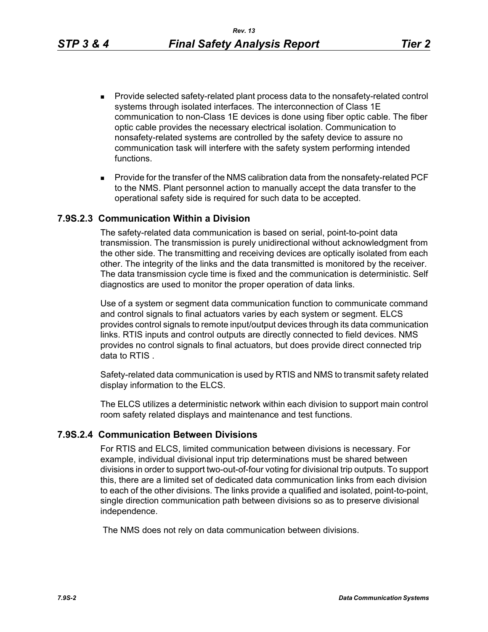- **Provide selected safety-related plant process data to the nonsafety-related control** systems through isolated interfaces. The interconnection of Class 1E communication to non-Class 1E devices is done using fiber optic cable. The fiber optic cable provides the necessary electrical isolation. Communication to nonsafety-related systems are controlled by the safety device to assure no communication task will interfere with the safety system performing intended functions.
- **Provide for the transfer of the NMS calibration data from the nonsafety-related PCF** to the NMS. Plant personnel action to manually accept the data transfer to the operational safety side is required for such data to be accepted.

#### **7.9S.2.3 Communication Within a Division**

The safety-related data communication is based on serial, point-to-point data transmission. The transmission is purely unidirectional without acknowledgment from the other side. The transmitting and receiving devices are optically isolated from each other. The integrity of the links and the data transmitted is monitored by the receiver. The data transmission cycle time is fixed and the communication is deterministic. Self diagnostics are used to monitor the proper operation of data links.

Use of a system or segment data communication function to communicate command and control signals to final actuators varies by each system or segment. ELCS provides control signals to remote input/output devices through its data communication links. RTIS inputs and control outputs are directly connected to field devices. NMS provides no control signals to final actuators, but does provide direct connected trip data to RTIS .

Safety-related data communication is used by RTIS and NMS to transmit safety related display information to the ELCS.

The ELCS utilizes a deterministic network within each division to support main control room safety related displays and maintenance and test functions.

#### **7.9S.2.4 Communication Between Divisions**

For RTIS and ELCS, limited communication between divisions is necessary. For example, individual divisional input trip determinations must be shared between divisions in order to support two-out-of-four voting for divisional trip outputs. To support this, there are a limited set of dedicated data communication links from each division to each of the other divisions. The links provide a qualified and isolated, point-to-point, single direction communication path between divisions so as to preserve divisional independence.

The NMS does not rely on data communication between divisions.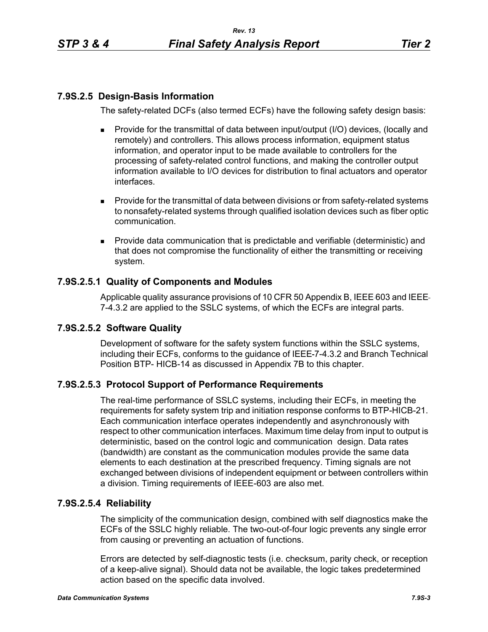# **7.9S.2.5 Design-Basis Information**

The safety-related DCFs (also termed ECFs) have the following safety design basis:

- Provide for the transmittal of data between input/output (I/O) devices, (locally and remotely) and controllers. This allows process information, equipment status information, and operator input to be made available to controllers for the processing of safety-related control functions, and making the controller output information available to I/O devices for distribution to final actuators and operator interfaces.
- **Provide for the transmittal of data between divisions or from safety-related systems** to nonsafety-related systems through qualified isolation devices such as fiber optic communication.
- **Provide data communication that is predictable and verifiable (deterministic) and** that does not compromise the functionality of either the transmitting or receiving system.

# **7.9S.2.5.1 Quality of Components and Modules**

Applicable quality assurance provisions of 10 CFR 50 Appendix B, IEEE-603 and IEEE-7-4.3.2 are applied to the SSLC systems, of which the ECFs are integral parts.

# **7.9S.2.5.2 Software Quality**

Development of software for the safety system functions within the SSLC systems, including their ECFs, conforms to the guidance of IEEE 7-4.3.2 and Branch Technical Position BTP- HICB-14 as discussed in Appendix 7B to this chapter.

# **7.9S.2.5.3 Protocol Support of Performance Requirements**

The real-time performance of SSLC systems, including their ECFs, in meeting the requirements for safety system trip and initiation response conforms to BTP-HICB-21. Each communication interface operates independently and asynchronously with respect to other communication interfaces. Maximum time delay from input to output is deterministic, based on the control logic and communication design. Data rates (bandwidth) are constant as the communication modules provide the same data elements to each destination at the prescribed frequency. Timing signals are not exchanged between divisions of independent equipment or between controllers within a division. Timing requirements of IEEE-603 are also met.

# **7.9S.2.5.4 Reliability**

The simplicity of the communication design, combined with self diagnostics make the ECFs of the SSLC highly reliable. The two-out-of-four logic prevents any single error from causing or preventing an actuation of functions.

Errors are detected by self-diagnostic tests (i.e. checksum, parity check, or reception of a keep-alive signal). Should data not be available, the logic takes predetermined action based on the specific data involved.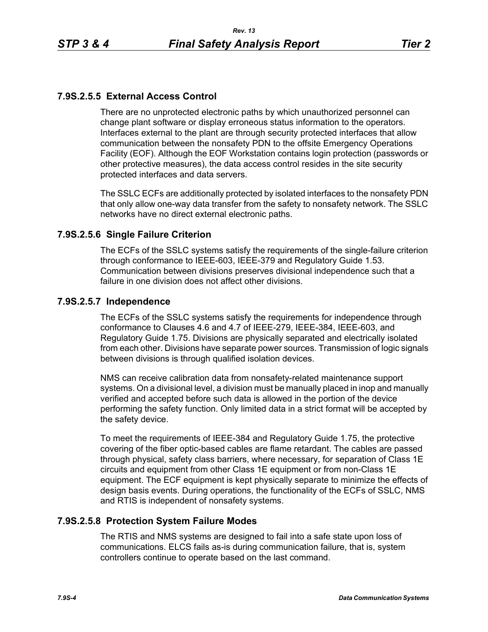# **7.9S.2.5.5 External Access Control**

There are no unprotected electronic paths by which unauthorized personnel can change plant software or display erroneous status information to the operators. Interfaces external to the plant are through security protected interfaces that allow communication between the nonsafety PDN to the offsite Emergency Operations Facility (EOF). Although the EOF Workstation contains login protection (passwords or other protective measures), the data access control resides in the site security protected interfaces and data servers.

The SSLC ECFs are additionally protected by isolated interfaces to the nonsafety PDN that only allow one-way data transfer from the safety to nonsafety network. The SSLC networks have no direct external electronic paths.

### **7.9S.2.5.6 Single Failure Criterion**

The ECFs of the SSLC systems satisfy the requirements of the single-failure criterion through conformance to IEEE-603, IEEE-379 and Regulatory Guide 1.53. Communication between divisions preserves divisional independence such that a failure in one division does not affect other divisions.

#### **7.9S.2.5.7 Independence**

The ECFs of the SSLC systems satisfy the requirements for independence through conformance to Clauses 4.6 and 4.7 of IEEE-279, IEEE-384, IEEE-603, and Regulatory Guide 1.75. Divisions are physically separated and electrically isolated from each other. Divisions have separate power sources. Transmission of logic signals between divisions is through qualified isolation devices.

NMS can receive calibration data from nonsafety-related maintenance support systems. On a divisional level, a division must be manually placed in inop and manually verified and accepted before such data is allowed in the portion of the device performing the safety function. Only limited data in a strict format will be accepted by the safety device.

To meet the requirements of IEEE-384 and Regulatory Guide 1.75, the protective covering of the fiber optic-based cables are flame retardant. The cables are passed through physical, safety class barriers, where necessary, for separation of Class 1E circuits and equipment from other Class 1E equipment or from non-Class 1E equipment. The ECF equipment is kept physically separate to minimize the effects of design basis events. During operations, the functionality of the ECFs of SSLC, NMS and RTIS is independent of nonsafety systems.

# **7.9S.2.5.8 Protection System Failure Modes**

The RTIS and NMS systems are designed to fail into a safe state upon loss of communications. ELCS fails as-is during communication failure, that is, system controllers continue to operate based on the last command.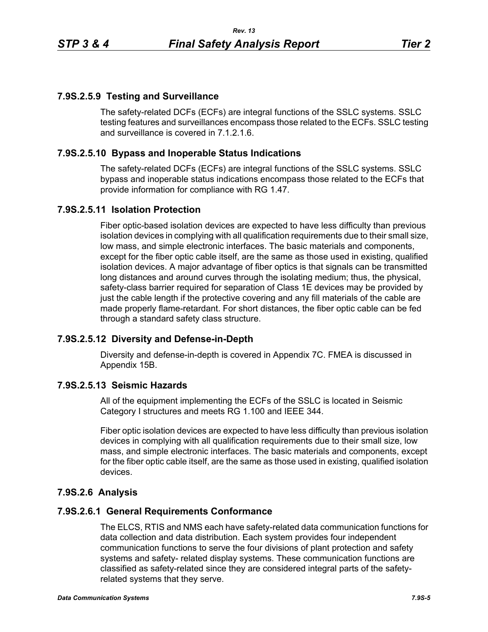### **7.9S.2.5.9 Testing and Surveillance**

The safety-related DCFs (ECFs) are integral functions of the SSLC systems. SSLC testing features and surveillances encompass those related to the ECFs. SSLC testing and surveillance is covered in 7.1.2.1.6.

### **7.9S.2.5.10 Bypass and Inoperable Status Indications**

The safety-related DCFs (ECFs) are integral functions of the SSLC systems. SSLC bypass and inoperable status indications encompass those related to the ECFs that provide information for compliance with RG 1.47.

### **7.9S.2.5.11 Isolation Protection**

Fiber optic-based isolation devices are expected to have less difficulty than previous isolation devices in complying with all qualification requirements due to their small size, low mass, and simple electronic interfaces. The basic materials and components, except for the fiber optic cable itself, are the same as those used in existing, qualified isolation devices. A major advantage of fiber optics is that signals can be transmitted long distances and around curves through the isolating medium; thus, the physical, safety-class barrier required for separation of Class 1E devices may be provided by just the cable length if the protective covering and any fill materials of the cable are made properly flame-retardant. For short distances, the fiber optic cable can be fed through a standard safety class structure.

#### **7.9S.2.5.12 Diversity and Defense-in-Depth**

Diversity and defense-in-depth is covered in Appendix 7C. FMEA is discussed in Appendix 15B.

### **7.9S.2.5.13 Seismic Hazards**

All of the equipment implementing the ECFs of the SSLC is located in Seismic Category I structures and meets RG 1.100 and IEEE 344.

Fiber optic isolation devices are expected to have less difficulty than previous isolation devices in complying with all qualification requirements due to their small size, low mass, and simple electronic interfaces. The basic materials and components, except for the fiber optic cable itself, are the same as those used in existing, qualified isolation devices.

# **7.9S.2.6 Analysis**

#### **7.9S.2.6.1 General Requirements Conformance**

The ELCS, RTIS and NMS each have safety-related data communication functions for data collection and data distribution. Each system provides four independent communication functions to serve the four divisions of plant protection and safety systems and safety- related display systems. These communication functions are classified as safety-related since they are considered integral parts of the safetyrelated systems that they serve.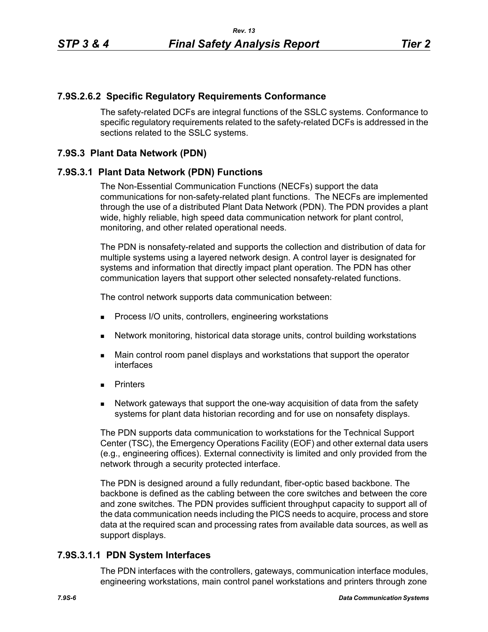### **7.9S.2.6.2 Specific Regulatory Requirements Conformance**

The safety-related DCFs are integral functions of the SSLC systems. Conformance to specific regulatory requirements related to the safety-related DCFs is addressed in the sections related to the SSLC systems.

### **7.9S.3 Plant Data Network (PDN)**

### **7.9S.3.1 Plant Data Network (PDN) Functions**

The Non-Essential Communication Functions (NECFs) support the data communications for non-safety-related plant functions. The NECFs are implemented through the use of a distributed Plant Data Network (PDN). The PDN provides a plant wide, highly reliable, high speed data communication network for plant control, monitoring, and other related operational needs.

The PDN is nonsafety-related and supports the collection and distribution of data for multiple systems using a layered network design. A control layer is designated for systems and information that directly impact plant operation. The PDN has other communication layers that support other selected nonsafety-related functions.

The control network supports data communication between:

- **Process I/O units, controllers, engineering workstations**
- Network monitoring, historical data storage units, control building workstations
- **Main control room panel displays and workstations that support the operator** interfaces
- **Printers**
- **Network gateways that support the one-way acquisition of data from the safety** systems for plant data historian recording and for use on nonsafety displays.

The PDN supports data communication to workstations for the Technical Support Center (TSC), the Emergency Operations Facility (EOF) and other external data users (e.g., engineering offices). External connectivity is limited and only provided from the network through a security protected interface.

The PDN is designed around a fully redundant, fiber-optic based backbone. The backbone is defined as the cabling between the core switches and between the core and zone switches. The PDN provides sufficient throughput capacity to support all of the data communication needs including the PICS needs to acquire, process and store data at the required scan and processing rates from available data sources, as well as support displays.

# **7.9S.3.1.1 PDN System Interfaces**

The PDN interfaces with the controllers, gateways, communication interface modules, engineering workstations, main control panel workstations and printers through zone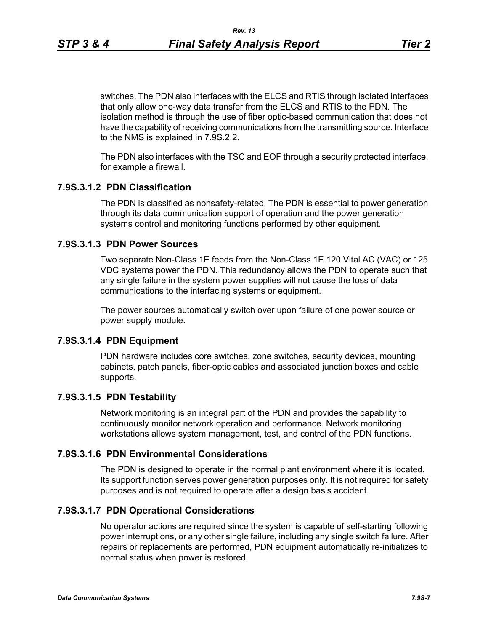switches. The PDN also interfaces with the ELCS and RTIS through isolated interfaces that only allow one-way data transfer from the ELCS and RTIS to the PDN. The isolation method is through the use of fiber optic-based communication that does not have the capability of receiving communications from the transmitting source. Interface to the NMS is explained in 7.9S.2.2.

The PDN also interfaces with the TSC and EOF through a security protected interface, for example a firewall.

#### **7.9S.3.1.2 PDN Classification**

The PDN is classified as nonsafety-related. The PDN is essential to power generation through its data communication support of operation and the power generation systems control and monitoring functions performed by other equipment.

#### **7.9S.3.1.3 PDN Power Sources**

Two separate Non-Class 1E feeds from the Non-Class 1E 120 Vital AC (VAC) or 125 VDC systems power the PDN. This redundancy allows the PDN to operate such that any single failure in the system power supplies will not cause the loss of data communications to the interfacing systems or equipment.

The power sources automatically switch over upon failure of one power source or power supply module.

#### **7.9S.3.1.4 PDN Equipment**

PDN hardware includes core switches, zone switches, security devices, mounting cabinets, patch panels, fiber-optic cables and associated junction boxes and cable supports.

#### **7.9S.3.1.5 PDN Testability**

Network monitoring is an integral part of the PDN and provides the capability to continuously monitor network operation and performance. Network monitoring workstations allows system management, test, and control of the PDN functions.

#### **7.9S.3.1.6 PDN Environmental Considerations**

The PDN is designed to operate in the normal plant environment where it is located. Its support function serves power generation purposes only. It is not required for safety purposes and is not required to operate after a design basis accident.

#### **7.9S.3.1.7 PDN Operational Considerations**

No operator actions are required since the system is capable of self-starting following power interruptions, or any other single failure, including any single switch failure. After repairs or replacements are performed, PDN equipment automatically re-initializes to normal status when power is restored.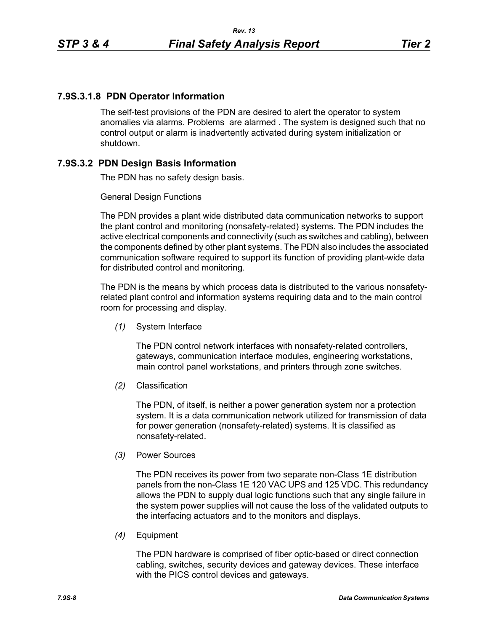### **7.9S.3.1.8 PDN Operator Information**

The self-test provisions of the PDN are desired to alert the operator to system anomalies via alarms. Problems are alarmed . The system is designed such that no control output or alarm is inadvertently activated during system initialization or shutdown.

# **7.9S.3.2 PDN Design Basis Information**

The PDN has no safety design basis.

#### General Design Functions

The PDN provides a plant wide distributed data communication networks to support the plant control and monitoring (nonsafety-related) systems. The PDN includes the active electrical components and connectivity (such as switches and cabling), between the components defined by other plant systems. The PDN also includes the associated communication software required to support its function of providing plant-wide data for distributed control and monitoring.

The PDN is the means by which process data is distributed to the various nonsafetyrelated plant control and information systems requiring data and to the main control room for processing and display.

*(1)* System Interface

The PDN control network interfaces with nonsafety-related controllers, gateways, communication interface modules, engineering workstations, main control panel workstations, and printers through zone switches.

*(2)* Classification

The PDN, of itself, is neither a power generation system nor a protection system. It is a data communication network utilized for transmission of data for power generation (nonsafety-related) systems. It is classified as nonsafety-related.

*(3)* Power Sources

The PDN receives its power from two separate non-Class 1E distribution panels from the non-Class 1E 120 VAC UPS and 125 VDC. This redundancy allows the PDN to supply dual logic functions such that any single failure in the system power supplies will not cause the loss of the validated outputs to the interfacing actuators and to the monitors and displays.

*(4)* Equipment

The PDN hardware is comprised of fiber optic-based or direct connection cabling, switches, security devices and gateway devices. These interface with the PICS control devices and gateways.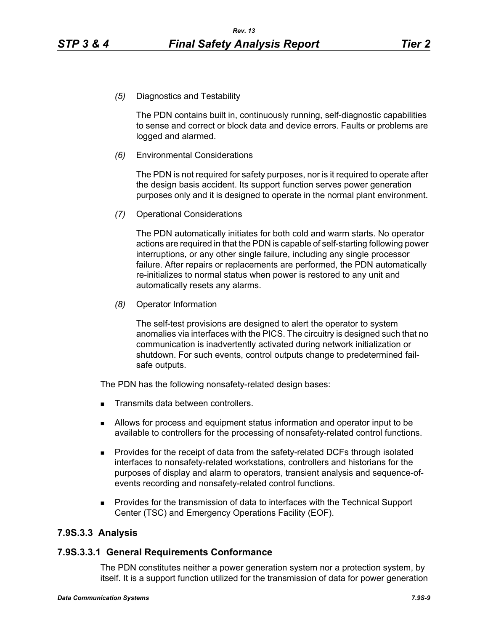*(5)* Diagnostics and Testability

The PDN contains built in, continuously running, self-diagnostic capabilities to sense and correct or block data and device errors. Faults or problems are logged and alarmed.

*(6)* Environmental Considerations

The PDN is not required for safety purposes, nor is it required to operate after the design basis accident. Its support function serves power generation purposes only and it is designed to operate in the normal plant environment.

*(7)* Operational Considerations

The PDN automatically initiates for both cold and warm starts. No operator actions are required in that the PDN is capable of self-starting following power interruptions, or any other single failure, including any single processor failure. After repairs or replacements are performed, the PDN automatically re-initializes to normal status when power is restored to any unit and automatically resets any alarms.

*(8)* Operator Information

The self-test provisions are designed to alert the operator to system anomalies via interfaces with the PICS. The circuitry is designed such that no communication is inadvertently activated during network initialization or shutdown. For such events, control outputs change to predetermined failsafe outputs.

The PDN has the following nonsafety-related design bases:

- Transmits data between controllers.
- Allows for process and equipment status information and operator input to be available to controllers for the processing of nonsafety-related control functions.
- **Provides for the receipt of data from the safety-related DCFs through isolated** interfaces to nonsafety-related workstations, controllers and historians for the purposes of display and alarm to operators, transient analysis and sequence-ofevents recording and nonsafety-related control functions.
- **Provides for the transmission of data to interfaces with the Technical Support** Center (TSC) and Emergency Operations Facility (EOF).

# **7.9S.3.3 Analysis**

# **7.9S.3.3.1 General Requirements Conformance**

The PDN constitutes neither a power generation system nor a protection system, by itself. It is a support function utilized for the transmission of data for power generation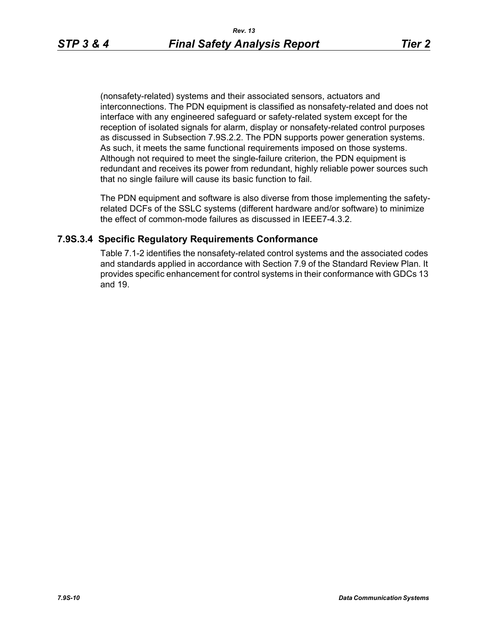(nonsafety-related) systems and their associated sensors, actuators and interconnections. The PDN equipment is classified as nonsafety-related and does not interface with any engineered safeguard or safety-related system except for the reception of isolated signals for alarm, display or nonsafety-related control purposes as discussed in Subsection 7.9S.2.2. The PDN supports power generation systems. As such, it meets the same functional requirements imposed on those systems. Although not required to meet the single-failure criterion, the PDN equipment is redundant and receives its power from redundant, highly reliable power sources such that no single failure will cause its basic function to fail.

The PDN equipment and software is also diverse from those implementing the safetyrelated DCFs of the SSLC systems (different hardware and/or software) to minimize the effect of common-mode failures as discussed in IEEE7-4.3.2.

### **7.9S.3.4 Specific Regulatory Requirements Conformance**

Table 7.1-2 identifies the nonsafety-related control systems and the associated codes and standards applied in accordance with Section 7.9 of the Standard Review Plan. It provides specific enhancement for control systems in their conformance with GDCs 13 and 19.